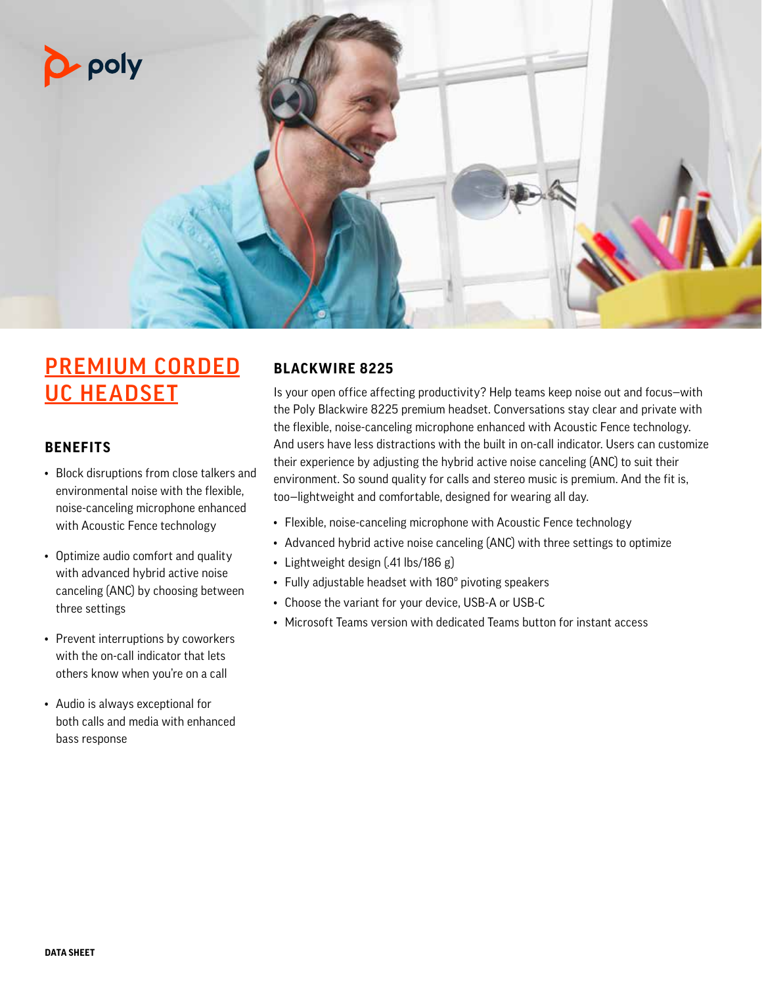

# PREMIUM CORDED UC HEADSET

### **BENEFITS**

- Block disruptions from close talkers and environmental noise with the flexible, noise-canceling microphone enhanced with Acoustic Fence technology
- Optimize audio comfort and quality with advanced hybrid active noise canceling (ANC) by choosing between three settings
- Prevent interruptions by coworkers with the on-call indicator that lets others know when you're on a call
- Audio is always exceptional for both calls and media with enhanced bass response

# **BLACKWIRE 8225**

Is your open office affecting productivity? Help teams keep noise out and focus—with the Poly Blackwire 8225 premium headset. Conversations stay clear and private with the flexible, noise-canceling microphone enhanced with Acoustic Fence technology. And users have less distractions with the built in on-call indicator. Users can customize their experience by adjusting the hybrid active noise canceling (ANC) to suit their environment. So sound quality for calls and stereo music is premium. And the fit is, too—lightweight and comfortable, designed for wearing all day.

- Flexible, noise-canceling microphone with Acoustic Fence technology
- Advanced hybrid active noise canceling (ANC) with three settings to optimize
- Lightweight design (.41 lbs/186 g)
- Fully adjustable headset with 180º pivoting speakers
- Choose the variant for your device, USB-A or USB-C
- Microsoft Teams version with dedicated Teams button for instant access